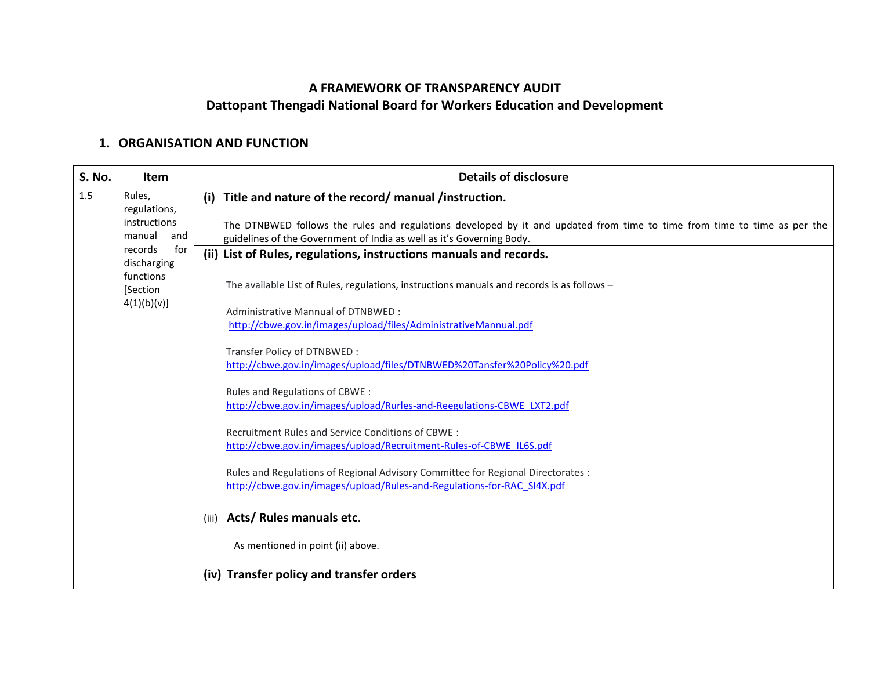## **A FRAMEWORK OF TRANSPARENCY AUDIT Dattopant Thengadi National Board for Workers Education and Development**

## **1. ORGANISATION AND FUNCTION**

| <b>S. No.</b> | Item                                                                                                                             | <b>Details of disclosure</b>                                                                                                                                                                      |
|---------------|----------------------------------------------------------------------------------------------------------------------------------|---------------------------------------------------------------------------------------------------------------------------------------------------------------------------------------------------|
| 1.5           | Rules,<br>regulations,<br>instructions<br>manual<br>and<br>for<br>records<br>discharging<br>functions<br>[Section<br>4(1)(b)(v)] | Title and nature of the record/manual/instruction.<br>(i)                                                                                                                                         |
|               |                                                                                                                                  | The DTNBWED follows the rules and regulations developed by it and updated from time to time from time to time as per the<br>guidelines of the Government of India as well as it's Governing Body. |
|               |                                                                                                                                  | (ii) List of Rules, regulations, instructions manuals and records.                                                                                                                                |
|               |                                                                                                                                  | The available List of Rules, regulations, instructions manuals and records is as follows -                                                                                                        |
|               |                                                                                                                                  | Administrative Mannual of DTNBWED:                                                                                                                                                                |
|               |                                                                                                                                  | http://cbwe.gov.in/images/upload/files/AdministrativeMannual.pdf                                                                                                                                  |
|               |                                                                                                                                  | Transfer Policy of DTNBWED:                                                                                                                                                                       |
|               |                                                                                                                                  | http://cbwe.gov.in/images/upload/files/DTNBWED%20Tansfer%20Policy%20.pdf                                                                                                                          |
|               |                                                                                                                                  | Rules and Regulations of CBWE :                                                                                                                                                                   |
|               |                                                                                                                                  | http://cbwe.gov.in/images/upload/Rurles-and-Reegulations-CBWE LXT2.pdf                                                                                                                            |
|               |                                                                                                                                  | Recruitment Rules and Service Conditions of CBWE:                                                                                                                                                 |
|               |                                                                                                                                  | http://cbwe.gov.in/images/upload/Recruitment-Rules-of-CBWE IL6S.pdf                                                                                                                               |
|               |                                                                                                                                  | Rules and Regulations of Regional Advisory Committee for Regional Directorates :                                                                                                                  |
|               |                                                                                                                                  | http://cbwe.gov.in/images/upload/Rules-and-Regulations-for-RAC_SI4X.pdf                                                                                                                           |
|               |                                                                                                                                  | Acts/ Rules manuals etc.<br>(iii)                                                                                                                                                                 |
|               |                                                                                                                                  | As mentioned in point (ii) above.                                                                                                                                                                 |
|               |                                                                                                                                  | (iv) Transfer policy and transfer orders                                                                                                                                                          |